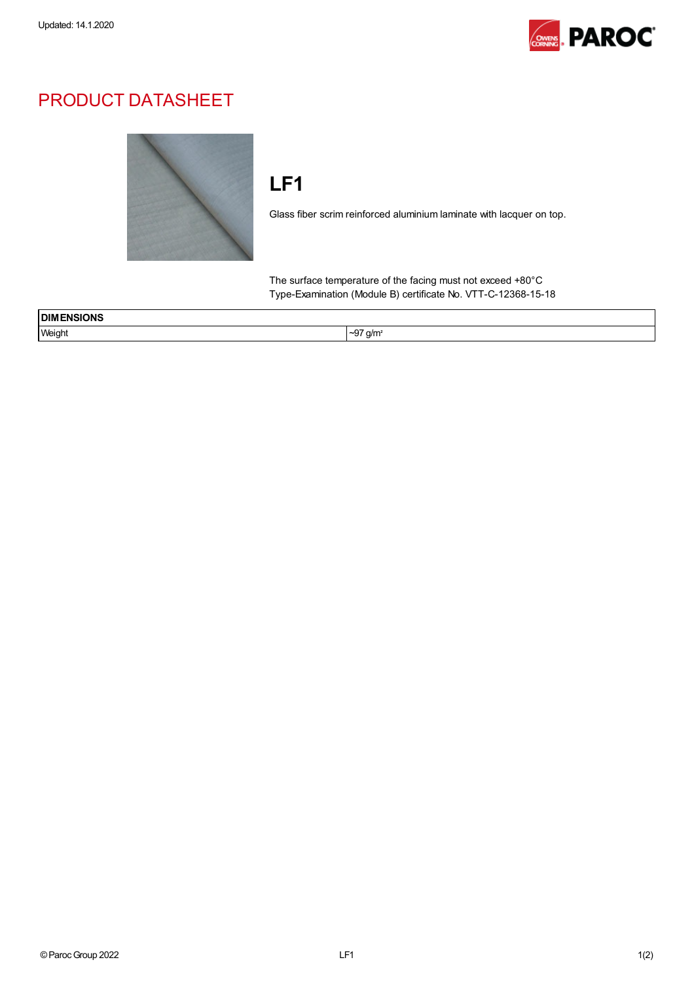

## PRODUCT DATASHEET



## LF1

Glass fiber scrim reinforced aluminium laminate with lacquer on top.

The surface temperature of the facing must not exceed +80°C Type-Examination (Module B) certificate No. VTT-C-12368-15-18

| <b>NSIONS</b><br><b>DIM</b> |                                   |  |
|-----------------------------|-----------------------------------|--|
| Weight                      | $\sim$<br>a/m <sup>2</sup><br>~9, |  |